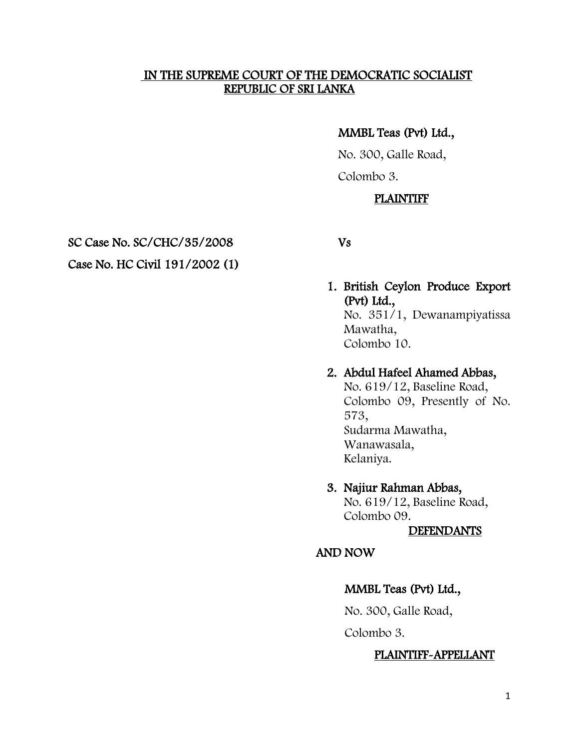#### IN THE SUPREME COURT OF THE DEMOCRATIC SOCIALIST REPUBLIC OF SRI LANKA

### MMBL Teas (Pvt) Ltd.,

 No. 300, Galle Road, Colombo 3.

# PLAINTIFF

SC Case No. SC/CHC/35/2008 Vs

# Case No. HC Civil 191/2002 (1)

### 1. British Ceylon Produce Export (Pvt) Ltd.,

No. 351/1, Dewanampiyatissa Mawatha, Colombo 10.

# 2. Abdul Hafeel Ahamed Abbas,

No. 619/12, Baseline Road, Colombo 09, Presently of No. 573, Sudarma Mawatha, Wanawasala, Kelaniya.

# 3. Najiur Rahman Abbas,

No. 619/12, Baseline Road, Colombo 09.

#### DEFENDANTS

### AND NOW

# MMBL Teas (Pvt) Ltd.,

No. 300, Galle Road,

Colombo 3.

### PLAINTIFF-APPELLANT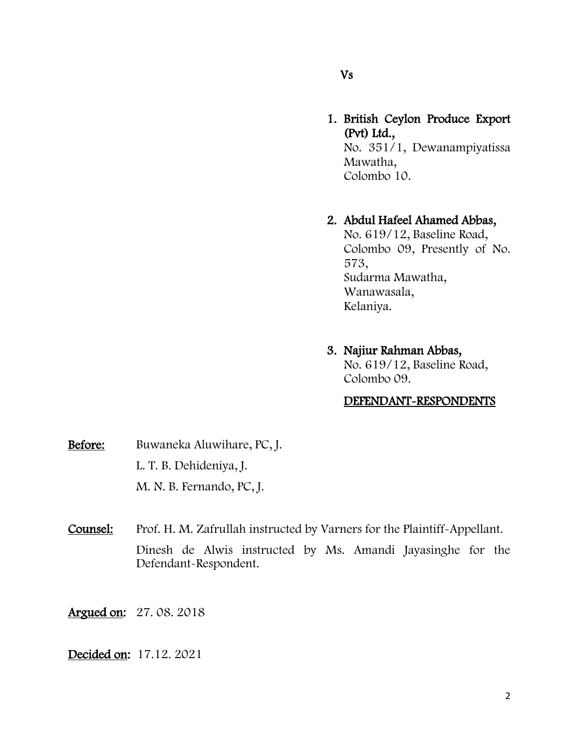### Vs

1. British Ceylon Produce Export (Pvt) Ltd., No. 351/1, Dewanampiyatissa Mawatha, Colombo 10.

# 2. Abdul Hafeel Ahamed Abbas,

No. 619/12, Baseline Road, Colombo 09, Presently of No. 573, Sudarma Mawatha, Wanawasala, Kelaniya.

# 3. Najiur Rahman Abbas,

No. 619/12, Baseline Road, Colombo 09.

### DEFENDANT-RESPONDENTS

- Before: Buwaneka Aluwihare, PC, J. L. T. B. Dehideniya, J. M. N. B. Fernando, PC, J.
- Counsel: Prof. H. M. Zafrullah instructed by Varners for the Plaintiff-Appellant. Dinesh de Alwis instructed by Ms. Amandi Jayasinghe for the Defendant-Respondent.
- Argued on: 27. 08. 2018

#### Decided on: 17.12. 2021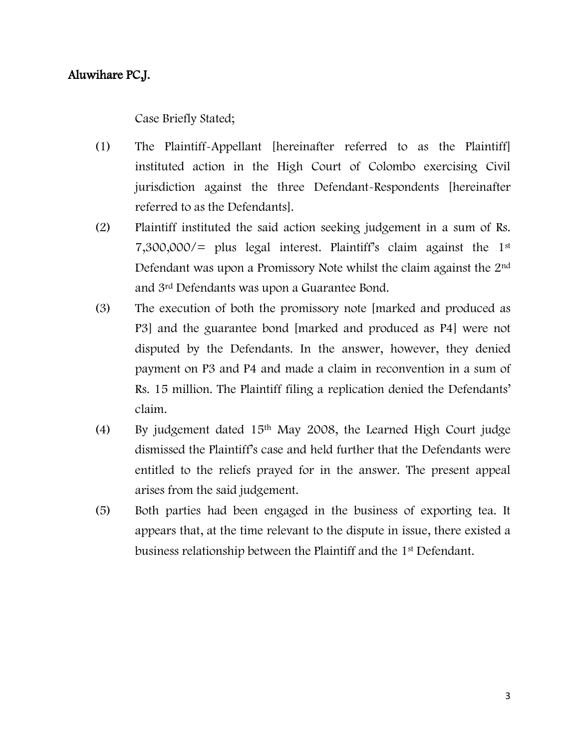### Aluwihare PC,J.

Case Briefly Stated;

- (1) The Plaintiff-Appellant [hereinafter referred to as the Plaintiff] instituted action in the High Court of Colombo exercising Civil jurisdiction against the three Defendant-Respondents [hereinafter referred to as the Defendants].
- (2) Plaintiff instituted the said action seeking judgement in a sum of Rs. 7,300,000/= plus legal interest. Plaintiff's claim against the 1st Defendant was upon a Promissory Note whilst the claim against the 2nd and 3rd Defendants was upon a Guarantee Bond.
- (3) The execution of both the promissory note [marked and produced as P3] and the guarantee bond [marked and produced as P4] were not disputed by the Defendants. In the answer, however, they denied payment on P3 and P4 and made a claim in reconvention in a sum of Rs. 15 million. The Plaintiff filing a replication denied the Defendants' claim.
- (4) By judgement dated 15th May 2008, the Learned High Court judge dismissed the Plaintiff's case and held further that the Defendants were entitled to the reliefs prayed for in the answer. The present appeal arises from the said judgement.
- (5) Both parties had been engaged in the business of exporting tea. It appears that, at the time relevant to the dispute in issue, there existed a business relationship between the Plaintiff and the 1st Defendant.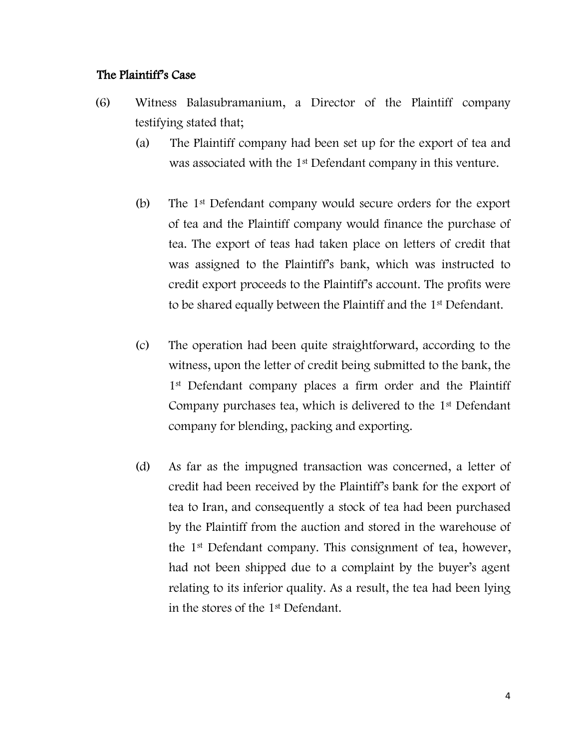### The Plaintiff's Case

- (6) Witness Balasubramanium, a Director of the Plaintiff company testifying stated that;
	- (a) The Plaintiff company had been set up for the export of tea and was associated with the 1<sup>st</sup> Defendant company in this venture.
	- (b) The 1st Defendant company would secure orders for the export of tea and the Plaintiff company would finance the purchase of tea. The export of teas had taken place on letters of credit that was assigned to the Plaintiff's bank, which was instructed to credit export proceeds to the Plaintiff's account. The profits were to be shared equally between the Plaintiff and the 1st Defendant.
	- (c) The operation had been quite straightforward, according to the witness, upon the letter of credit being submitted to the bank, the 1<sup>st</sup> Defendant company places a firm order and the Plaintiff Company purchases tea, which is delivered to the 1st Defendant company for blending, packing and exporting.
	- (d) As far as the impugned transaction was concerned, a letter of credit had been received by the Plaintiff's bank for the export of tea to Iran, and consequently a stock of tea had been purchased by the Plaintiff from the auction and stored in the warehouse of the 1st Defendant company. This consignment of tea, however, had not been shipped due to a complaint by the buyer's agent relating to its inferior quality. As a result, the tea had been lying in the stores of the 1st Defendant.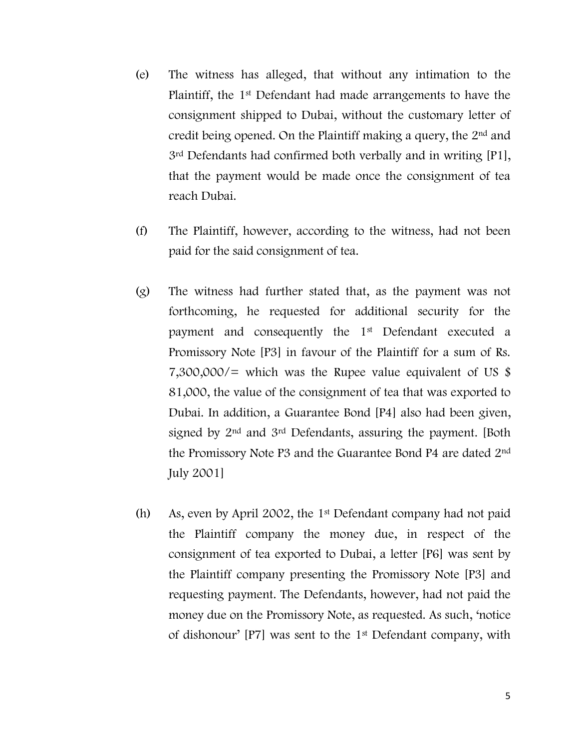- (e) The witness has alleged, that without any intimation to the Plaintiff, the 1st Defendant had made arrangements to have the consignment shipped to Dubai, without the customary letter of credit being opened. On the Plaintiff making a query, the 2nd and 3rd Defendants had confirmed both verbally and in writing [P1], that the payment would be made once the consignment of tea reach Dubai.
- (f) The Plaintiff, however, according to the witness, had not been paid for the said consignment of tea.
- (g) The witness had further stated that, as the payment was not forthcoming, he requested for additional security for the payment and consequently the 1st Defendant executed a Promissory Note [P3] in favour of the Plaintiff for a sum of Rs. 7,300,000/= which was the Rupee value equivalent of US  $\$ 81,000, the value of the consignment of tea that was exported to Dubai. In addition, a Guarantee Bond [P4] also had been given, signed by 2<sup>nd</sup> and 3<sup>rd</sup> Defendants, assuring the payment. [Both] the Promissory Note P3 and the Guarantee Bond P4 are dated 2nd July 2001]
- (h) As, even by April 2002, the 1st Defendant company had not paid the Plaintiff company the money due, in respect of the consignment of tea exported to Dubai, a letter [P6] was sent by the Plaintiff company presenting the Promissory Note [P3] and requesting payment. The Defendants, however, had not paid the money due on the Promissory Note, as requested. As such, 'notice of dishonour' [P7] was sent to the 1st Defendant company, with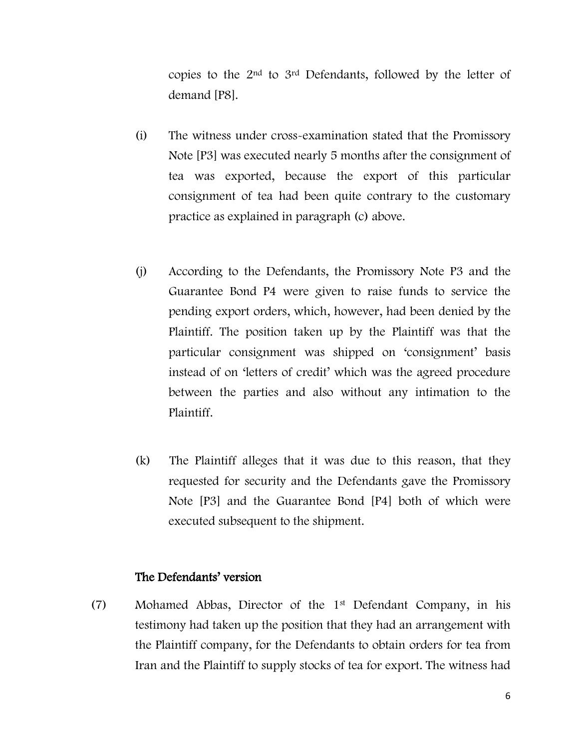copies to the 2nd to 3rd Defendants, followed by the letter of demand [P8].

- (i) The witness under cross-examination stated that the Promissory Note [P3] was executed nearly 5 months after the consignment of tea was exported, because the export of this particular consignment of tea had been quite contrary to the customary practice as explained in paragraph (c) above.
- (j) According to the Defendants, the Promissory Note P3 and the Guarantee Bond P4 were given to raise funds to service the pending export orders, which, however, had been denied by the Plaintiff. The position taken up by the Plaintiff was that the particular consignment was shipped on 'consignment' basis instead of on 'letters of credit' which was the agreed procedure between the parties and also without any intimation to the Plaintiff.
- (k) The Plaintiff alleges that it was due to this reason, that they requested for security and the Defendants gave the Promissory Note [P3] and the Guarantee Bond [P4] both of which were executed subsequent to the shipment.

#### The Defendants' version

(7) Mohamed Abbas, Director of the 1st Defendant Company, in his testimony had taken up the position that they had an arrangement with the Plaintiff company, for the Defendants to obtain orders for tea from Iran and the Plaintiff to supply stocks of tea for export. The witness had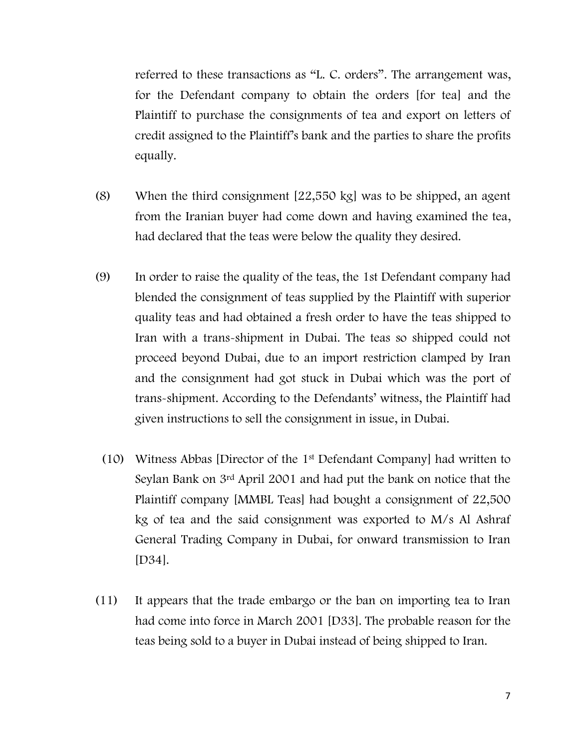referred to these transactions as "L. C. orders". The arrangement was, for the Defendant company to obtain the orders [for tea] and the Plaintiff to purchase the consignments of tea and export on letters of credit assigned to the Plaintiff's bank and the parties to share the profits equally.

- (8) When the third consignment [22,550 kg] was to be shipped, an agent from the Iranian buyer had come down and having examined the tea, had declared that the teas were below the quality they desired.
- (9) In order to raise the quality of the teas, the 1st Defendant company had blended the consignment of teas supplied by the Plaintiff with superior quality teas and had obtained a fresh order to have the teas shipped to Iran with a trans-shipment in Dubai. The teas so shipped could not proceed beyond Dubai, due to an import restriction clamped by Iran and the consignment had got stuck in Dubai which was the port of trans-shipment. According to the Defendants' witness, the Plaintiff had given instructions to sell the consignment in issue, in Dubai.
	- (10) Witness Abbas [Director of the 1st Defendant Company] had written to Seylan Bank on 3rd April 2001 and had put the bank on notice that the Plaintiff company [MMBL Teas] had bought a consignment of 22,500 kg of tea and the said consignment was exported to M/s Al Ashraf General Trading Company in Dubai, for onward transmission to Iran [D34].
- (11) It appears that the trade embargo or the ban on importing tea to Iran had come into force in March 2001 [D33]. The probable reason for the teas being sold to a buyer in Dubai instead of being shipped to Iran.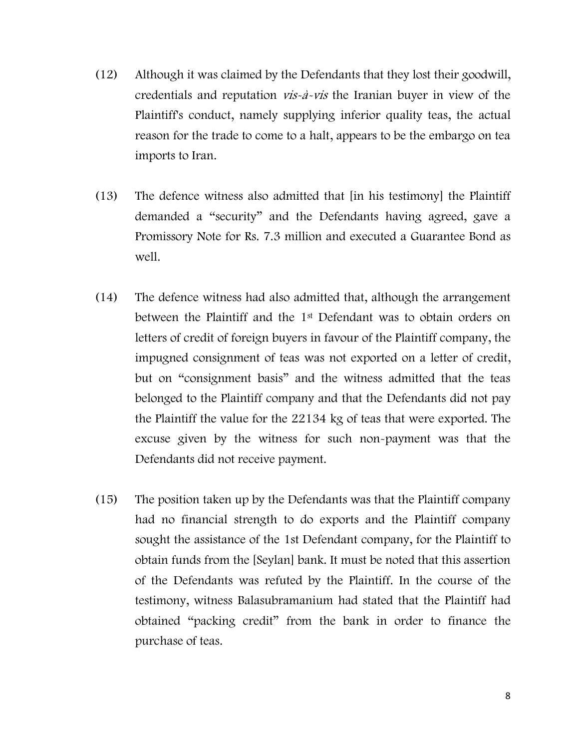- (12) Although it was claimed by the Defendants that they lost their goodwill, credentials and reputation vis-à-vis the Iranian buyer in view of the Plaintiff's conduct, namely supplying inferior quality teas, the actual reason for the trade to come to a halt, appears to be the embargo on tea imports to Iran.
- (13) The defence witness also admitted that [in his testimony] the Plaintiff demanded a "security" and the Defendants having agreed, gave a Promissory Note for Rs. 7.3 million and executed a Guarantee Bond as well.
- (14) The defence witness had also admitted that, although the arrangement between the Plaintiff and the 1st Defendant was to obtain orders on letters of credit of foreign buyers in favour of the Plaintiff company, the impugned consignment of teas was not exported on a letter of credit, but on "consignment basis" and the witness admitted that the teas belonged to the Plaintiff company and that the Defendants did not pay the Plaintiff the value for the 22134 kg of teas that were exported. The excuse given by the witness for such non-payment was that the Defendants did not receive payment.
- (15) The position taken up by the Defendants was that the Plaintiff company had no financial strength to do exports and the Plaintiff company sought the assistance of the 1st Defendant company, for the Plaintiff to obtain funds from the [Seylan] bank. It must be noted that this assertion of the Defendants was refuted by the Plaintiff. In the course of the testimony, witness Balasubramanium had stated that the Plaintiff had obtained "packing credit" from the bank in order to finance the purchase of teas.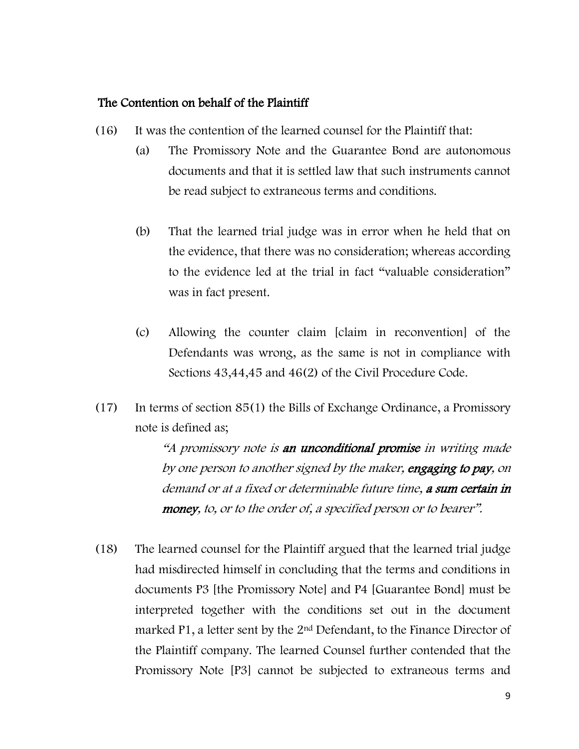### The Contention on behalf of the Plaintiff

- (16) It was the contention of the learned counsel for the Plaintiff that:
	- (a) The Promissory Note and the Guarantee Bond are autonomous documents and that it is settled law that such instruments cannot be read subject to extraneous terms and conditions.
	- (b) That the learned trial judge was in error when he held that on the evidence, that there was no consideration; whereas according to the evidence led at the trial in fact "valuable consideration" was in fact present.
	- (c) Allowing the counter claim [claim in reconvention] of the Defendants was wrong, as the same is not in compliance with Sections 43,44,45 and 46(2) of the Civil Procedure Code.
- (17) In terms of section 85(1) the Bills of Exchange Ordinance, a Promissory note is defined as;

"A promissory note is an unconditional promise in writing made by one person to another signed by the maker, engaging to pay, on demand or at a fixed or determinable future time, a sum certain in money, to, or to the order of, a specified person or to bearer".

(18) The learned counsel for the Plaintiff argued that the learned trial judge had misdirected himself in concluding that the terms and conditions in documents P3 [the Promissory Note] and P4 [Guarantee Bond] must be interpreted together with the conditions set out in the document marked P1, a letter sent by the 2nd Defendant, to the Finance Director of the Plaintiff company. The learned Counsel further contended that the Promissory Note [P3] cannot be subjected to extraneous terms and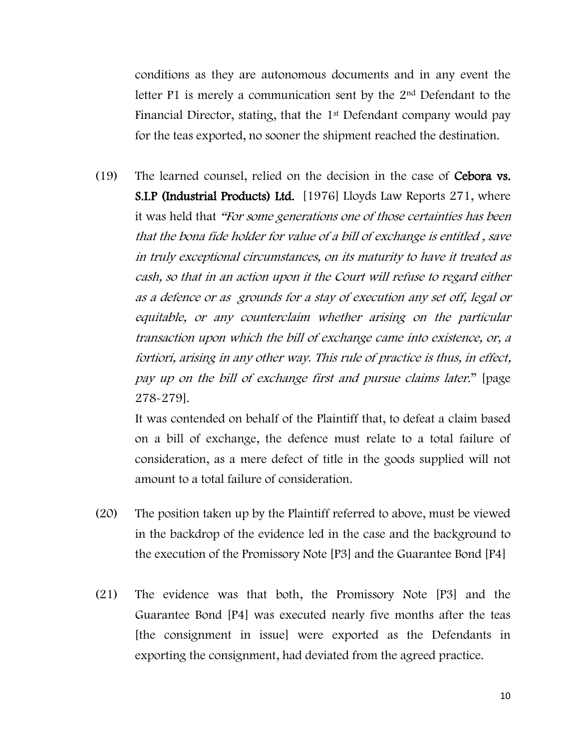conditions as they are autonomous documents and in any event the letter P1 is merely a communication sent by the 2nd Defendant to the Financial Director, stating, that the 1st Defendant company would pay for the teas exported, no sooner the shipment reached the destination.

(19) The learned counsel, relied on the decision in the case of Cebora vs. S.I.P (Industrial Products) Ltd. [1976] Lloyds Law Reports 271, where it was held that "For some generations one of those certainties has been that the bona fide holder for value of a bill of exchange is entitled , save in truly exceptional circumstances, on its maturity to have it treated as cash, so that in an action upon it the Court will refuse to regard either as a defence or as grounds for a stay of execution any set off, legal or equitable, or any counterclaim whether arising on the particular transaction upon which the bill of exchange came into existence, or, <sup>a</sup> fortiori, arising in any other way. This rule of practice is thus, in effect, pay up on the bill of exchange first and pursue claims later." [page 278-279].

It was contended on behalf of the Plaintiff that, to defeat a claim based on a bill of exchange, the defence must relate to a total failure of consideration, as a mere defect of title in the goods supplied will not amount to a total failure of consideration.

- (20) The position taken up by the Plaintiff referred to above, must be viewed in the backdrop of the evidence led in the case and the background to the execution of the Promissory Note [P3] and the Guarantee Bond [P4]
- (21) The evidence was that both, the Promissory Note [P3] and the Guarantee Bond [P4] was executed nearly five months after the teas [the consignment in issue] were exported as the Defendants in exporting the consignment, had deviated from the agreed practice.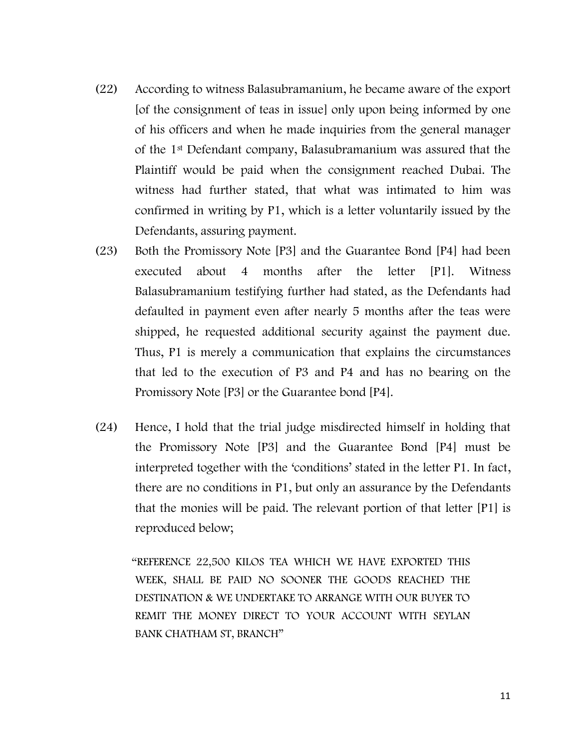- (22) According to witness Balasubramanium, he became aware of the export [of the consignment of teas in issue] only upon being informed by one of his officers and when he made inquiries from the general manager of the 1st Defendant company, Balasubramanium was assured that the Plaintiff would be paid when the consignment reached Dubai. The witness had further stated, that what was intimated to him was confirmed in writing by P1, which is a letter voluntarily issued by the Defendants, assuring payment.
- (23) Both the Promissory Note [P3] and the Guarantee Bond [P4] had been executed about 4 months after the letter [P1]. Witness Balasubramanium testifying further had stated, as the Defendants had defaulted in payment even after nearly 5 months after the teas were shipped, he requested additional security against the payment due. Thus, P1 is merely a communication that explains the circumstances that led to the execution of P3 and P4 and has no bearing on the Promissory Note [P3] or the Guarantee bond [P4].
- (24) Hence, I hold that the trial judge misdirected himself in holding that the Promissory Note [P3] and the Guarantee Bond [P4] must be interpreted together with the 'conditions' stated in the letter P1. In fact, there are no conditions in P1, but only an assurance by the Defendants that the monies will be paid. The relevant portion of that letter [P1] is reproduced below;

 "REFERENCE 22,500 KILOS TEA WHICH WE HAVE EXPORTED THIS WEEK, SHALL BE PAID NO SOONER THE GOODS REACHED THE DESTINATION & WE UNDERTAKE TO ARRANGE WITH OUR BUYER TO REMIT THE MONEY DIRECT TO YOUR ACCOUNT WITH SEYLAN BANK CHATHAM ST, BRANCH"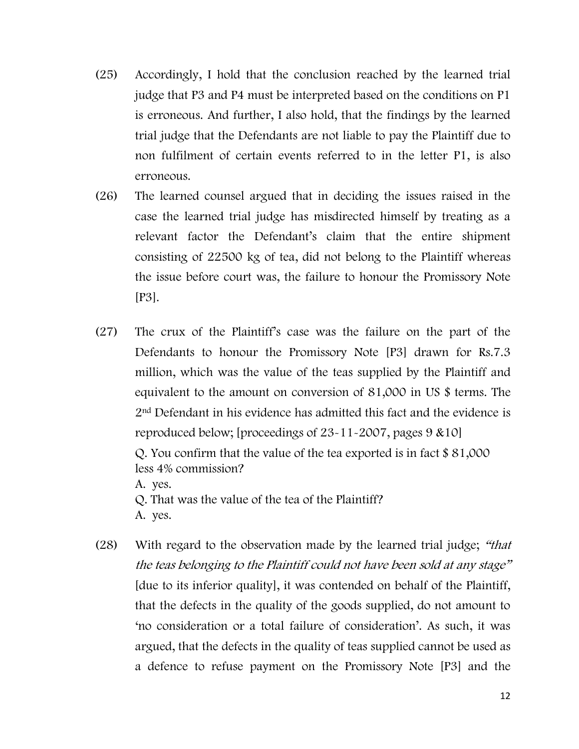- (25) Accordingly, I hold that the conclusion reached by the learned trial judge that P3 and P4 must be interpreted based on the conditions on P1 is erroneous. And further, I also hold, that the findings by the learned trial judge that the Defendants are not liable to pay the Plaintiff due to non fulfilment of certain events referred to in the letter P1, is also erroneous.
- (26) The learned counsel argued that in deciding the issues raised in the case the learned trial judge has misdirected himself by treating as a relevant factor the Defendant's claim that the entire shipment consisting of 22500 kg of tea, did not belong to the Plaintiff whereas the issue before court was, the failure to honour the Promissory Note [P3].
- (27) The crux of the Plaintiff's case was the failure on the part of the Defendants to honour the Promissory Note [P3] drawn for Rs.7.3 million, which was the value of the teas supplied by the Plaintiff and equivalent to the amount on conversion of 81,000 in US \$ terms. The 2nd Defendant in his evidence has admitted this fact and the evidence is reproduced below; [proceedings of 23-11-2007, pages 9 &10]

Q. You confirm that the value of the tea exported is in fact \$ 81,000 less 4% commission?

A. yes.

Q. That was the value of the tea of the Plaintiff? A. yes.

(28) With regard to the observation made by the learned trial judge; "that the teas belonging to the Plaintiff could not have been sold at any stage" [due to its inferior quality], it was contended on behalf of the Plaintiff, that the defects in the quality of the goods supplied, do not amount to 'no consideration or a total failure of consideration'. As such, it was argued, that the defects in the quality of teas supplied cannot be used as a defence to refuse payment on the Promissory Note [P3] and the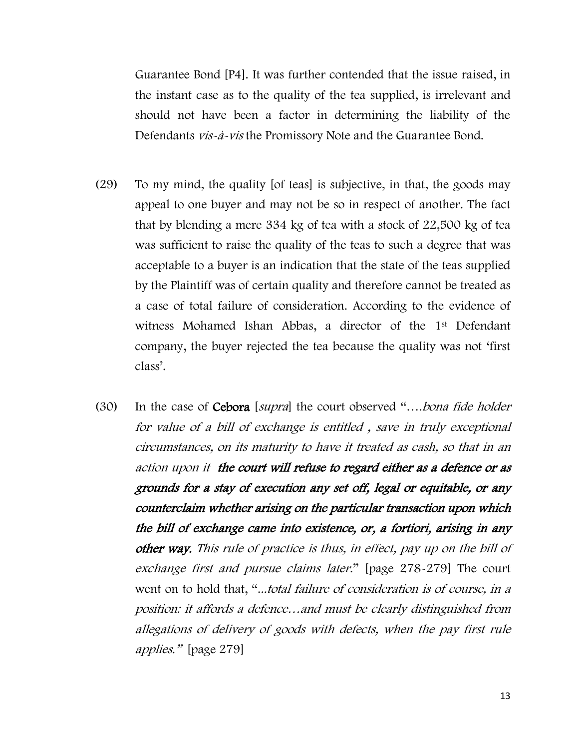Guarantee Bond [P4]. It was further contended that the issue raised, in the instant case as to the quality of the tea supplied, is irrelevant and should not have been a factor in determining the liability of the Defendants *vis-à-vis* the Promissory Note and the Guarantee Bond.

- (29) To my mind, the quality [of teas] is subjective, in that, the goods may appeal to one buyer and may not be so in respect of another. The fact that by blending a mere 334 kg of tea with a stock of 22,500 kg of tea was sufficient to raise the quality of the teas to such a degree that was acceptable to a buyer is an indication that the state of the teas supplied by the Plaintiff was of certain quality and therefore cannot be treated as a case of total failure of consideration. According to the evidence of witness Mohamed Ishan Abbas, a director of the 1st Defendant company, the buyer rejected the tea because the quality was not 'first class'.
- (30) In the case of Cebora [supra] the court observed "….bona fide holder for value of a bill of exchange is entitled , save in truly exceptional circumstances, on its maturity to have it treated as cash, so that in an action upon it the court will refuse to regard either as a defence or as grounds for a stay of execution any set off, legal or equitable, or any counterclaim whether arising on the particular transaction upon which the bill of exchange came into existence, or, a fortiori, arising in any other way. This rule of practice is thus, in effect, pay up on the bill of exchange first and pursue claims later." [page 278-279] The court went on to hold that, "...total failure of consideration is of course, in a position: it affords a defence…and must be clearly distinguished from allegations of delivery of goods with defects, when the pay first rule applies." [page 279]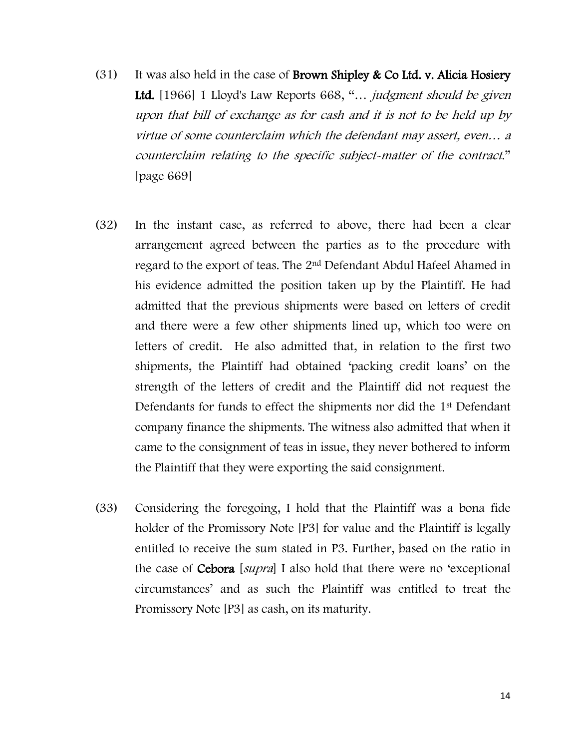- (31) It was also held in the case of **Brown Shipley & Co Ltd. v. Alicia Hosiery** Ltd. [1966] 1 Lloyd's Law Reports 668, "... *judgment should be given* upon that bill of exchange as for cash and it is not to be held up by virtue of some counterclaim which the defendant may assert, even… <sup>a</sup> counterclaim relating to the specific subject-matter of the contract." [page 669]
- (32) In the instant case, as referred to above, there had been a clear arrangement agreed between the parties as to the procedure with regard to the export of teas. The 2nd Defendant Abdul Hafeel Ahamed in his evidence admitted the position taken up by the Plaintiff. He had admitted that the previous shipments were based on letters of credit and there were a few other shipments lined up, which too were on letters of credit. He also admitted that, in relation to the first two shipments, the Plaintiff had obtained 'packing credit loans' on the strength of the letters of credit and the Plaintiff did not request the Defendants for funds to effect the shipments nor did the 1<sup>st</sup> Defendant company finance the shipments. The witness also admitted that when it came to the consignment of teas in issue, they never bothered to inform the Plaintiff that they were exporting the said consignment.
- (33) Considering the foregoing, I hold that the Plaintiff was a bona fide holder of the Promissory Note [P3] for value and the Plaintiff is legally entitled to receive the sum stated in P3. Further, based on the ratio in the case of **Cebora** [*supra*] I also hold that there were no 'exceptional circumstances' and as such the Plaintiff was entitled to treat the Promissory Note [P3] as cash, on its maturity.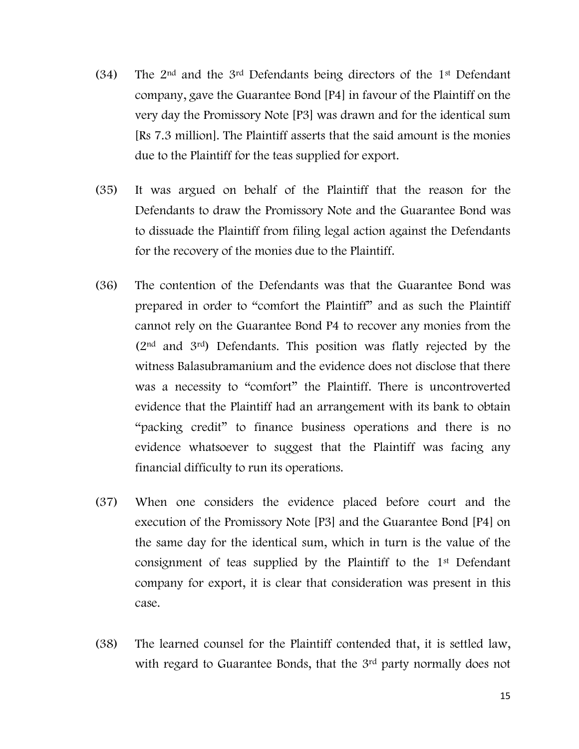- (34) The 2nd and the 3rd Defendants being directors of the 1st Defendant company, gave the Guarantee Bond [P4] in favour of the Plaintiff on the very day the Promissory Note [P3] was drawn and for the identical sum [Rs 7.3 million]. The Plaintiff asserts that the said amount is the monies due to the Plaintiff for the teas supplied for export.
- (35) It was argued on behalf of the Plaintiff that the reason for the Defendants to draw the Promissory Note and the Guarantee Bond was to dissuade the Plaintiff from filing legal action against the Defendants for the recovery of the monies due to the Plaintiff.
- (36) The contention of the Defendants was that the Guarantee Bond was prepared in order to "comfort the Plaintiff" and as such the Plaintiff cannot rely on the Guarantee Bond P4 to recover any monies from the (2nd and 3rd) Defendants. This position was flatly rejected by the witness Balasubramanium and the evidence does not disclose that there was a necessity to "comfort" the Plaintiff. There is uncontroverted evidence that the Plaintiff had an arrangement with its bank to obtain "packing credit" to finance business operations and there is no evidence whatsoever to suggest that the Plaintiff was facing any financial difficulty to run its operations.
- (37) When one considers the evidence placed before court and the execution of the Promissory Note [P3] and the Guarantee Bond [P4] on the same day for the identical sum, which in turn is the value of the consignment of teas supplied by the Plaintiff to the 1st Defendant company for export, it is clear that consideration was present in this case.
- (38) The learned counsel for the Plaintiff contended that, it is settled law, with regard to Guarantee Bonds, that the 3<sup>rd</sup> party normally does not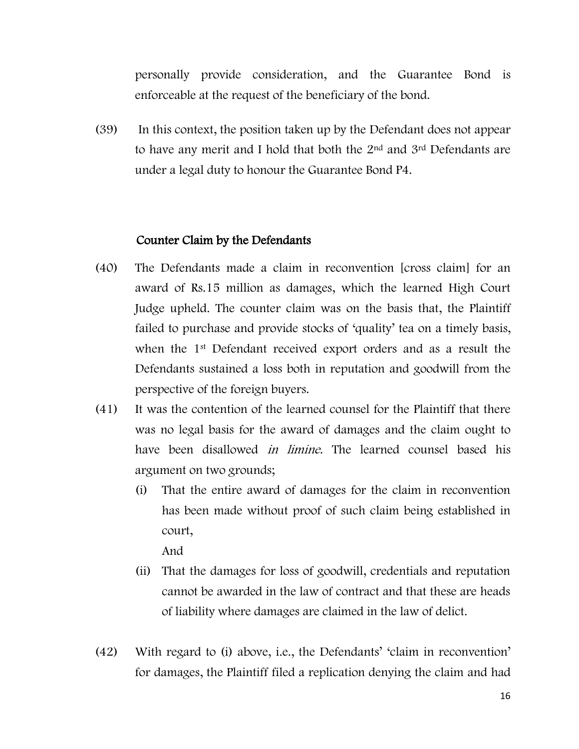personally provide consideration, and the Guarantee Bond is enforceable at the request of the beneficiary of the bond.

(39) In this context, the position taken up by the Defendant does not appear to have any merit and I hold that both the 2nd and 3rd Defendants are under a legal duty to honour the Guarantee Bond P4.

#### Counter Claim by the Defendants

- (40) The Defendants made a claim in reconvention [cross claim] for an award of Rs.15 million as damages, which the learned High Court Judge upheld. The counter claim was on the basis that, the Plaintiff failed to purchase and provide stocks of 'quality' tea on a timely basis, when the 1st Defendant received export orders and as a result the Defendants sustained a loss both in reputation and goodwill from the perspective of the foreign buyers.
- (41) It was the contention of the learned counsel for the Plaintiff that there was no legal basis for the award of damages and the claim ought to have been disallowed *in limine*. The learned counsel based his argument on two grounds;
	- (i) That the entire award of damages for the claim in reconvention has been made without proof of such claim being established in court,

And

- (ii) That the damages for loss of goodwill, credentials and reputation cannot be awarded in the law of contract and that these are heads of liability where damages are claimed in the law of delict.
- (42) With regard to (i) above, i.e., the Defendants' 'claim in reconvention' for damages, the Plaintiff filed a replication denying the claim and had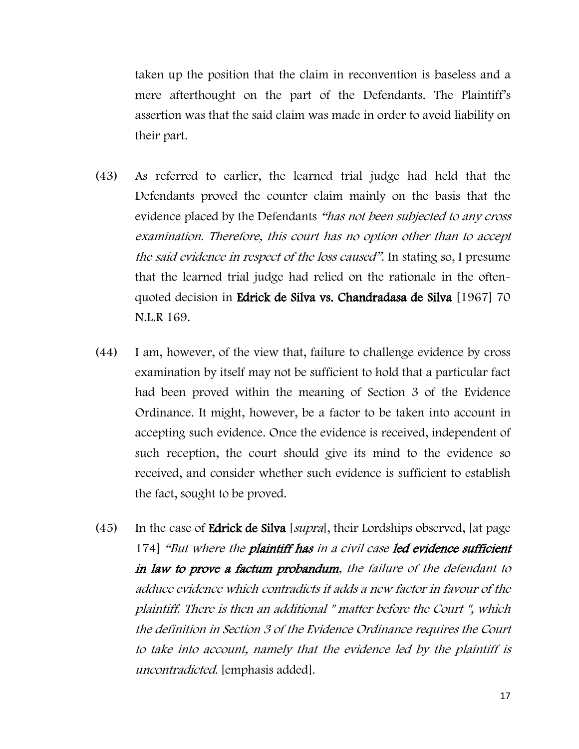taken up the position that the claim in reconvention is baseless and a mere afterthought on the part of the Defendants. The Plaintiff's assertion was that the said claim was made in order to avoid liability on their part.

- (43) As referred to earlier, the learned trial judge had held that the Defendants proved the counter claim mainly on the basis that the evidence placed by the Defendants "has not been subjected to any cross examination. Therefore, this court has no option other than to accept the said evidence in respect of the loss caused". In stating so, I presume that the learned trial judge had relied on the rationale in the oftenquoted decision in Edrick de Silva vs. Chandradasa de Silva [1967] 70 N.L.R 169.
- (44) I am, however, of the view that, failure to challenge evidence by cross examination by itself may not be sufficient to hold that a particular fact had been proved within the meaning of Section 3 of the Evidence Ordinance. It might, however, be a factor to be taken into account in accepting such evidence. Once the evidence is received, independent of such reception, the court should give its mind to the evidence so received, and consider whether such evidence is sufficient to establish the fact, sought to be proved.
- (45) In the case of Edrick de Silva [supra], their Lordships observed, [at page 174] "But where the plaintiff has in a civil case led evidence sufficient in law to prove a factum probandum, the failure of the defendant to adduce evidence which contradicts it adds a new factor in favour of the plaintiff. There is then an additional " matter before the Court ", which the definition in Section 3 of the Evidence Ordinance requires the Court to take into account, namely that the evidence led by the plaintiff is uncontradicted. [emphasis added].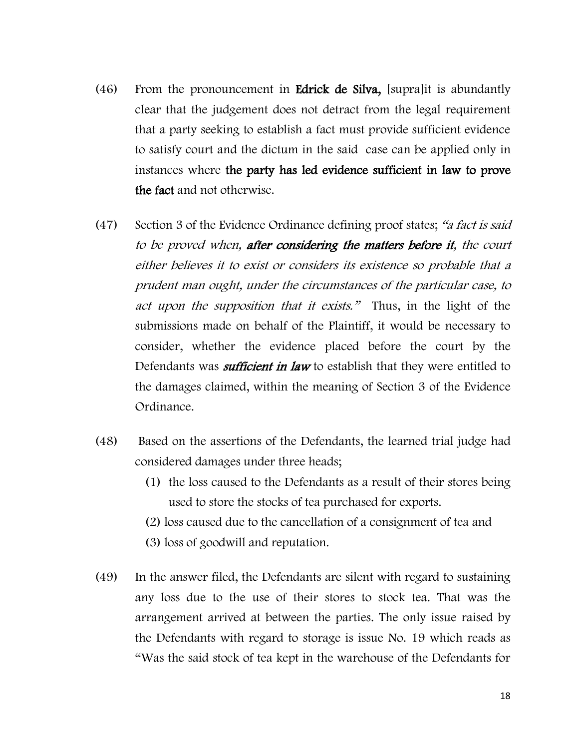- (46) From the pronouncement in Edrick de Silva, [supra]it is abundantly clear that the judgement does not detract from the legal requirement that a party seeking to establish a fact must provide sufficient evidence to satisfy court and the dictum in the said case can be applied only in instances where the party has led evidence sufficient in law to prove the fact and not otherwise.
- (47) Section 3 of the Evidence Ordinance defining proof states; "a fact is said to be proved when, after considering the matters before it, the court either believes it to exist or considers its existence so probable that a prudent man ought, under the circumstances of the particular case, to act upon the supposition that it exists." Thus, in the light of the submissions made on behalf of the Plaintiff, it would be necessary to consider, whether the evidence placed before the court by the Defendants was *sufficient in law* to establish that they were entitled to the damages claimed, within the meaning of Section 3 of the Evidence Ordinance.
- (48) Based on the assertions of the Defendants, the learned trial judge had considered damages under three heads;
	- (1) the loss caused to the Defendants as a result of their stores being used to store the stocks of tea purchased for exports.
	- (2) loss caused due to the cancellation of a consignment of tea and
	- (3) loss of goodwill and reputation.
- (49) In the answer filed, the Defendants are silent with regard to sustaining any loss due to the use of their stores to stock tea. That was the arrangement arrived at between the parties. The only issue raised by the Defendants with regard to storage is issue No. 19 which reads as "Was the said stock of tea kept in the warehouse of the Defendants for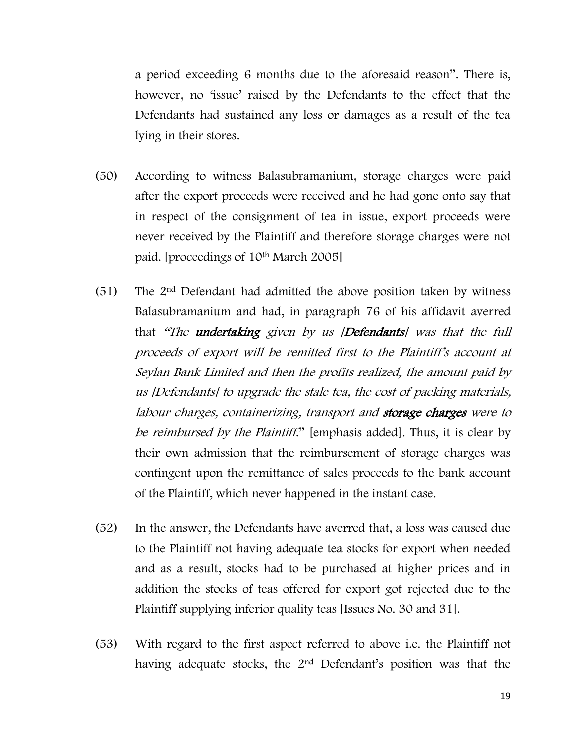a period exceeding 6 months due to the aforesaid reason". There is, however, no 'issue' raised by the Defendants to the effect that the Defendants had sustained any loss or damages as a result of the tea lying in their stores.

- (50) According to witness Balasubramanium, storage charges were paid after the export proceeds were received and he had gone onto say that in respect of the consignment of tea in issue, export proceeds were never received by the Plaintiff and therefore storage charges were not paid. [proceedings of 10th March 2005]
- (51) The 2nd Defendant had admitted the above position taken by witness Balasubramanium and had, in paragraph 76 of his affidavit averred that "The **undertaking** given by us [**Defendants**] was that the full proceeds of export will be remitted first to the Plaintiff's account at Seylan Bank Limited and then the profits realized, the amount paid by us [Defendants] to upgrade the stale tea, the cost of packing materials, labour charges, containerizing, transport and storage charges were to be reimbursed by the Plaintiff." [emphasis added]. Thus, it is clear by their own admission that the reimbursement of storage charges was contingent upon the remittance of sales proceeds to the bank account of the Plaintiff, which never happened in the instant case.
- (52) In the answer, the Defendants have averred that, a loss was caused due to the Plaintiff not having adequate tea stocks for export when needed and as a result, stocks had to be purchased at higher prices and in addition the stocks of teas offered for export got rejected due to the Plaintiff supplying inferior quality teas [Issues No. 30 and 31].
- (53) With regard to the first aspect referred to above i.e. the Plaintiff not having adequate stocks, the 2nd Defendant's position was that the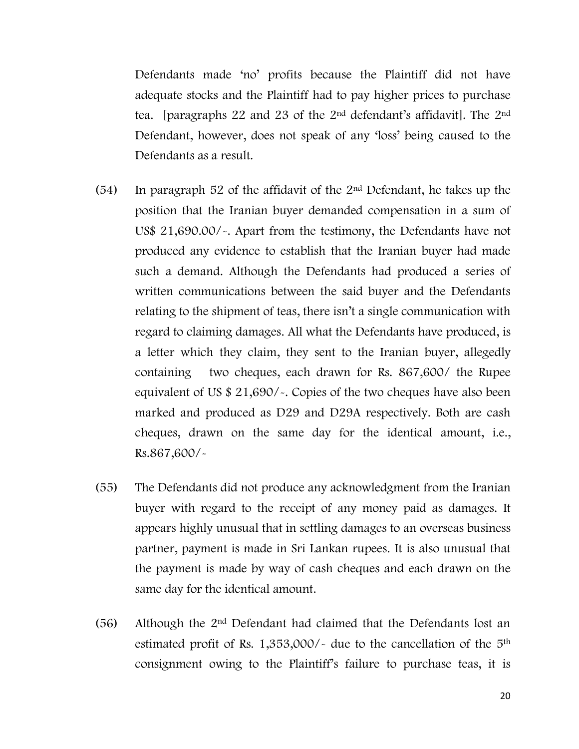Defendants made 'no' profits because the Plaintiff did not have adequate stocks and the Plaintiff had to pay higher prices to purchase tea. [paragraphs 22 and 23 of the 2nd defendant's affidavit]. The 2nd Defendant, however, does not speak of any 'loss' being caused to the Defendants as a result.

- (54) In paragraph 52 of the affidavit of the  $2<sup>nd</sup>$  Defendant, he takes up the position that the Iranian buyer demanded compensation in a sum of US\$ 21,690.00/-. Apart from the testimony, the Defendants have not produced any evidence to establish that the Iranian buyer had made such a demand. Although the Defendants had produced a series of written communications between the said buyer and the Defendants relating to the shipment of teas, there isn't a single communication with regard to claiming damages. All what the Defendants have produced, is a letter which they claim, they sent to the Iranian buyer, allegedly containing two cheques, each drawn for Rs. 867,600/ the Rupee equivalent of US \$ 21,690/-. Copies of the two cheques have also been marked and produced as D29 and D29A respectively. Both are cash cheques, drawn on the same day for the identical amount, i.e., Rs.867,600/-
- (55) The Defendants did not produce any acknowledgment from the Iranian buyer with regard to the receipt of any money paid as damages. It appears highly unusual that in settling damages to an overseas business partner, payment is made in Sri Lankan rupees. It is also unusual that the payment is made by way of cash cheques and each drawn on the same day for the identical amount.
- (56) Although the 2nd Defendant had claimed that the Defendants lost an estimated profit of Rs.  $1,353,000/$  due to the cancellation of the  $5<sup>th</sup>$ consignment owing to the Plaintiff's failure to purchase teas, it is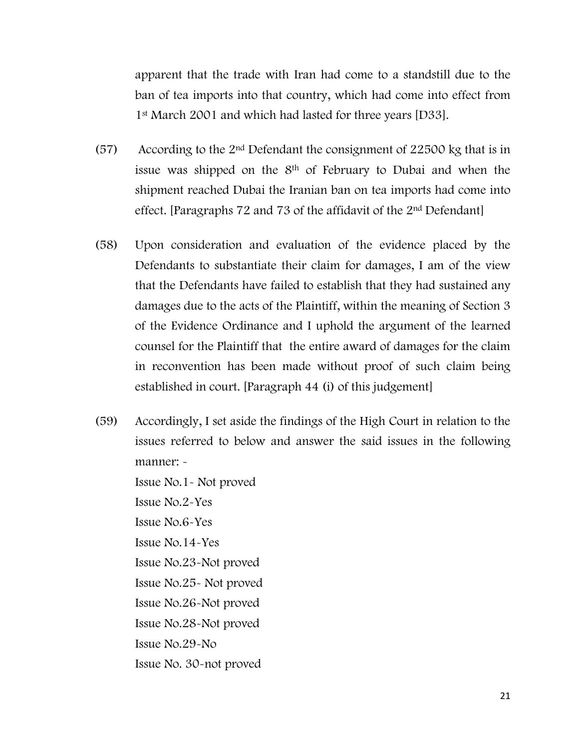apparent that the trade with Iran had come to a standstill due to the ban of tea imports into that country, which had come into effect from 1st March 2001 and which had lasted for three years [D33].

- (57) According to the 2nd Defendant the consignment of 22500 kg that is in issue was shipped on the  $8<sup>th</sup>$  of February to Dubai and when the shipment reached Dubai the Iranian ban on tea imports had come into effect. [Paragraphs 72 and 73 of the affidavit of the 2nd Defendant]
- (58) Upon consideration and evaluation of the evidence placed by the Defendants to substantiate their claim for damages, I am of the view that the Defendants have failed to establish that they had sustained any damages due to the acts of the Plaintiff, within the meaning of Section 3 of the Evidence Ordinance and I uphold the argument of the learned counsel for the Plaintiff that the entire award of damages for the claim in reconvention has been made without proof of such claim being established in court. [Paragraph 44 (i) of this judgement]
- (59) Accordingly, I set aside the findings of the High Court in relation to the issues referred to below and answer the said issues in the following manner: -

Issue No.1- Not proved Issue No.2-Yes Issue No.6-Yes Issue No.14-Yes Issue No.23-Not proved Issue No.25- Not proved Issue No.26-Not proved Issue No.28-Not proved Issue No.29-No Issue No. 30-not proved